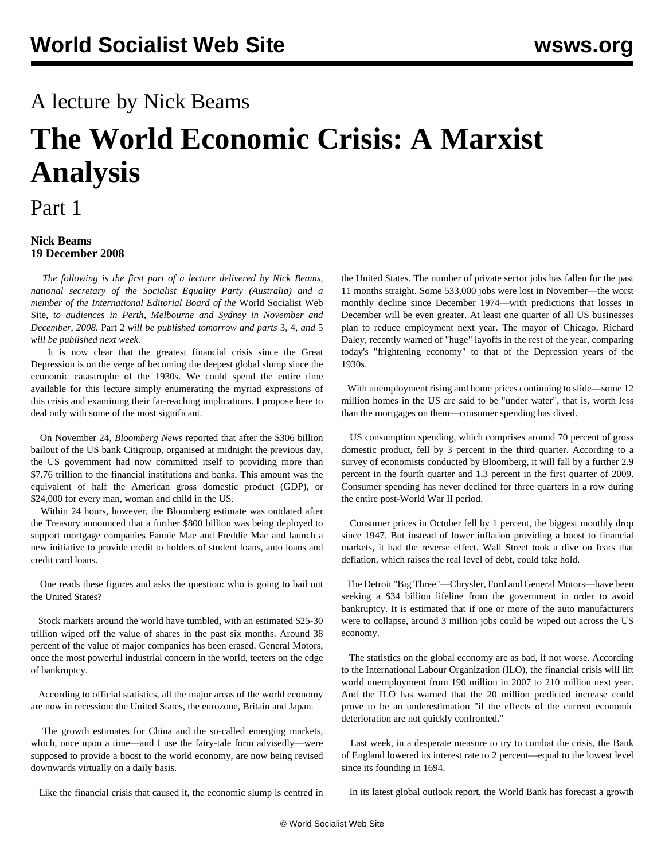## A lecture by Nick Beams

## **The World Economic Crisis: A Marxist Analysis**

## Part 1

## **Nick Beams 19 December 2008**

 *The following is the first part of a lecture delivered by Nick Beams, national secretary of the Socialist Equality Party (Australia) and a member of the International Editorial Board of the* World Socialist Web Site*, to audiences in Perth, Melbourne and Sydney in November and December, 2008.* [Part 2](/en/articles/2008/12/lect-d20.html) *will be published tomorrow and parts* [3](/en/articles/2008/12/nbe3-d22.html)*,* [4](/en/articles/2008/12/nbe4-d23.html)*, and* [5](/en/articles/2008/12/nbe5-d24.html) *will be published next week.*

 It is now clear that the greatest financial crisis since the Great Depression is on the verge of becoming the deepest global slump since the economic catastrophe of the 1930s. We could spend the entire time available for this lecture simply enumerating the myriad expressions of this crisis and examining their far-reaching implications. I propose here to deal only with some of the most significant.

 On November 24, *Bloomberg News* reported that after the \$306 billion bailout of the US bank Citigroup, organised at midnight the previous day, the US government had now committed itself to providing more than \$7.76 trillion to the financial institutions and banks. This amount was the equivalent of half the American gross domestic product (GDP), or \$24,000 for every man, woman and child in the US.

 Within 24 hours, however, the Bloomberg estimate was outdated after the Treasury announced that a further \$800 billion was being deployed to support mortgage companies Fannie Mae and Freddie Mac and launch a new initiative to provide credit to holders of student loans, auto loans and credit card loans.

 One reads these figures and asks the question: who is going to bail out the United States?

 Stock markets around the world have tumbled, with an estimated \$25-30 trillion wiped off the value of shares in the past six months. Around 38 percent of the value of major companies has been erased. General Motors, once the most powerful industrial concern in the world, teeters on the edge of bankruptcy.

 According to official statistics, all the major areas of the world economy are now in recession: the United States, the eurozone, Britain and Japan.

 The growth estimates for China and the so-called emerging markets, which, once upon a time—and I use the fairy-tale form advisedly—were supposed to provide a boost to the world economy, are now being revised downwards virtually on a daily basis.

Like the financial crisis that caused it, the economic slump is centred in

the United States. The number of private sector jobs has fallen for the past 11 months straight. Some 533,000 jobs were lost in November—the worst monthly decline since December 1974—with predictions that losses in December will be even greater. At least one quarter of all US businesses plan to reduce employment next year. The mayor of Chicago, Richard Daley, recently warned of "huge" layoffs in the rest of the year, comparing today's "frightening economy" to that of the Depression years of the 1930s.

 With unemployment rising and home prices continuing to slide—some 12 million homes in the US are said to be "under water", that is, worth less than the mortgages on them—consumer spending has dived.

 US consumption spending, which comprises around 70 percent of gross domestic product, fell by 3 percent in the third quarter. According to a survey of economists conducted by Bloomberg, it will fall by a further 2.9 percent in the fourth quarter and 1.3 percent in the first quarter of 2009. Consumer spending has never declined for three quarters in a row during the entire post-World War II period.

 Consumer prices in October fell by 1 percent, the biggest monthly drop since 1947. But instead of lower inflation providing a boost to financial markets, it had the reverse effect. Wall Street took a dive on fears that deflation, which raises the real level of debt, could take hold.

 The Detroit "Big Three"—Chrysler, Ford and General Motors—have been seeking a \$34 billion lifeline from the government in order to avoid bankruptcy. It is estimated that if one or more of the auto manufacturers were to collapse, around 3 million jobs could be wiped out across the US economy.

 The statistics on the global economy are as bad, if not worse. According to the International Labour Organization (ILO), the financial crisis will lift world unemployment from 190 million in 2007 to 210 million next year. And the ILO has warned that the 20 million predicted increase could prove to be an underestimation "if the effects of the current economic deterioration are not quickly confronted."

 Last week, in a desperate measure to try to combat the crisis, the Bank of England lowered its interest rate to 2 percent—equal to the lowest level since its founding in 1694.

In its latest global outlook report, the World Bank has forecast a growth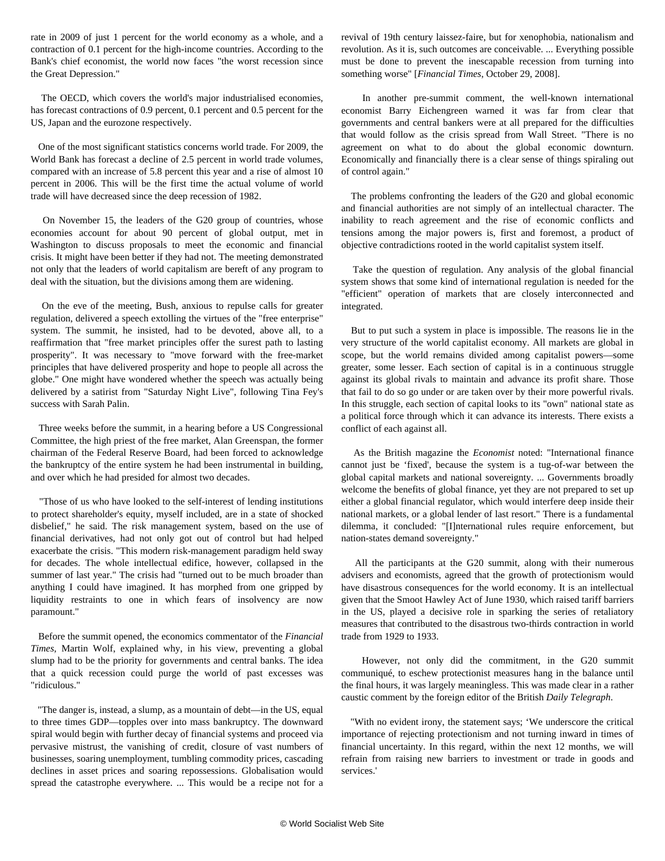rate in 2009 of just 1 percent for the world economy as a whole, and a contraction of 0.1 percent for the high-income countries. According to the Bank's chief economist, the world now faces "the worst recession since the Great Depression."

 The OECD, which covers the world's major industrialised economies, has forecast contractions of 0.9 percent, 0.1 percent and 0.5 percent for the US, Japan and the eurozone respectively.

 One of the most significant statistics concerns world trade. For 2009, the World Bank has forecast a decline of 2.5 percent in world trade volumes, compared with an increase of 5.8 percent this year and a rise of almost 10 percent in 2006. This will be the first time the actual volume of world trade will have decreased since the deep recession of 1982.

 On November 15, the leaders of the G20 group of countries, whose economies account for about 90 percent of global output, met in Washington to discuss proposals to meet the economic and financial crisis. It might have been better if they had not. The meeting demonstrated not only that the leaders of world capitalism are bereft of any program to deal with the situation, but the divisions among them are widening.

 On the eve of the meeting, Bush, anxious to repulse calls for greater regulation, delivered a speech extolling the virtues of the "free enterprise" system. The summit, he insisted, had to be devoted, above all, to a reaffirmation that "free market principles offer the surest path to lasting prosperity". It was necessary to "move forward with the free-market principles that have delivered prosperity and hope to people all across the globe." One might have wondered whether the speech was actually being delivered by a satirist from "Saturday Night Live", following Tina Fey's success with Sarah Palin.

 Three weeks before the summit, in a hearing before a US Congressional Committee, the high priest of the free market, Alan Greenspan, the former chairman of the Federal Reserve Board, had been forced to acknowledge the bankruptcy of the entire system he had been instrumental in building, and over which he had presided for almost two decades.

 "Those of us who have looked to the self-interest of lending institutions to protect shareholder's equity, myself included, are in a state of shocked disbelief," he said. The risk management system, based on the use of financial derivatives, had not only got out of control but had helped exacerbate the crisis. "This modern risk-management paradigm held sway for decades. The whole intellectual edifice, however, collapsed in the summer of last year." The crisis had "turned out to be much broader than anything I could have imagined. It has morphed from one gripped by liquidity restraints to one in which fears of insolvency are now paramount."

 Before the summit opened, the economics commentator of the *Financial Times,* Martin Wolf, explained why, in his view, preventing a global slump had to be the priority for governments and central banks. The idea that a quick recession could purge the world of past excesses was "ridiculous."

 "The danger is, instead, a slump, as a mountain of debt—in the US, equal to three times GDP—topples over into mass bankruptcy. The downward spiral would begin with further decay of financial systems and proceed via pervasive mistrust, the vanishing of credit, closure of vast numbers of businesses, soaring unemployment, tumbling commodity prices, cascading declines in asset prices and soaring repossessions. Globalisation would spread the catastrophe everywhere. ... This would be a recipe not for a revival of 19th century laissez-faire, but for xenophobia, nationalism and revolution. As it is, such outcomes are conceivable. ... Everything possible must be done to prevent the inescapable recession from turning into something worse" [*Financial Times*, October 29, 2008].

 In another pre-summit comment, the well-known international economist Barry Eichengreen warned it was far from clear that governments and central bankers were at all prepared for the difficulties that would follow as the crisis spread from Wall Street. "There is no agreement on what to do about the global economic downturn. Economically and financially there is a clear sense of things spiraling out of control again."

 The problems confronting the leaders of the G20 and global economic and financial authorities are not simply of an intellectual character. The inability to reach agreement and the rise of economic conflicts and tensions among the major powers is, first and foremost, a product of objective contradictions rooted in the world capitalist system itself.

 Take the question of regulation. Any analysis of the global financial system shows that some kind of international regulation is needed for the "efficient" operation of markets that are closely interconnected and integrated.

 But to put such a system in place is impossible. The reasons lie in the very structure of the world capitalist economy. All markets are global in scope, but the world remains divided among capitalist powers—some greater, some lesser. Each section of capital is in a continuous struggle against its global rivals to maintain and advance its profit share. Those that fail to do so go under or are taken over by their more powerful rivals. In this struggle, each section of capital looks to its "own" national state as a political force through which it can advance its interests. There exists a conflict of each against all.

 As the British magazine the *Economist* noted: "International finance cannot just be 'fixed', because the system is a tug-of-war between the global capital markets and national sovereignty. ... Governments broadly welcome the benefits of global finance, yet they are not prepared to set up either a global financial regulator, which would interfere deep inside their national markets, or a global lender of last resort." There is a fundamental dilemma, it concluded: "[I]nternational rules require enforcement, but nation-states demand sovereignty."

 All the participants at the G20 summit, along with their numerous advisers and economists, agreed that the growth of protectionism would have disastrous consequences for the world economy. It is an intellectual given that the Smoot Hawley Act of June 1930, which raised tariff barriers in the US, played a decisive role in sparking the series of retaliatory measures that contributed to the disastrous two-thirds contraction in world trade from 1929 to 1933.

 However, not only did the commitment, in the G20 summit communiqué, to eschew protectionist measures hang in the balance until the final hours, it was largely meaningless. This was made clear in a rather caustic comment by the foreign editor of the British *Daily Telegraph*.

 "With no evident irony, the statement says; 'We underscore the critical importance of rejecting protectionism and not turning inward in times of financial uncertainty. In this regard, within the next 12 months, we will refrain from raising new barriers to investment or trade in goods and services.'